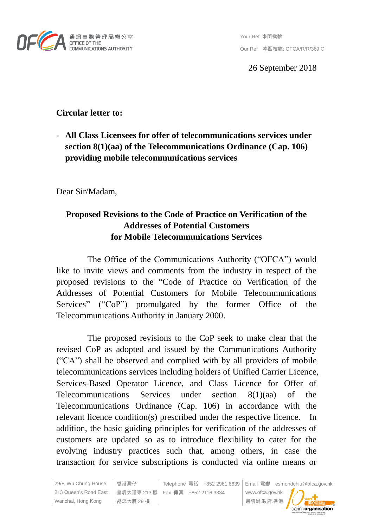

26 September 2018

# **Circular letter to:**

**- All Class Licensees for offer of telecommunications services under section 8(1)(aa) of the Telecommunications Ordinance (Cap. 106) providing mobile telecommunications services**

Dear Sir/Madam,

# **Proposed Revisions to the Code of Practice on Verification of the Addresses of Potential Customers for Mobile Telecommunications Services**

The Office of the Communications Authority ("OFCA") would like to invite views and comments from the industry in respect of the proposed revisions to the "Code of Practice on Verification of the Addresses of Potential Customers for Mobile Telecommunications Services" ("CoP") promulgated by the former Office of the Telecommunications Authority in January 2000.

The proposed revisions to the CoP seek to make clear that the revised CoP as adopted and issued by the Communications Authority ("CA") shall be observed and complied with by all providers of mobile telecommunications services including holders of Unified Carrier Licence, Services-Based Operator Licence, and Class Licence for Offer of Telecommunications Services under section 8(1)(aa) of the Telecommunications Ordinance (Cap. 106) in accordance with the relevant licence condition(s) prescribed under the respective licence. In addition, the basic guiding principles for verification of the addresses of customers are updated so as to introduce flexibility to cater for the evolving industry practices such that, among others, in case the transaction for service subscriptions is conducted via online means or

29/F, Wu Chung House 香港灣仔 Telephone 電話 +852 2961 6639 Email 電郵 esmondchiu@ofca.gov.hk 213 Queen's Road East 皇后大道東 213 號 Fax 傳真 +852 2116 3334 www.ofca.gov.hk Wanchai, Hong Kong 胡忠大廈 29 樓 通訊辦.政府.香港 caringorganisation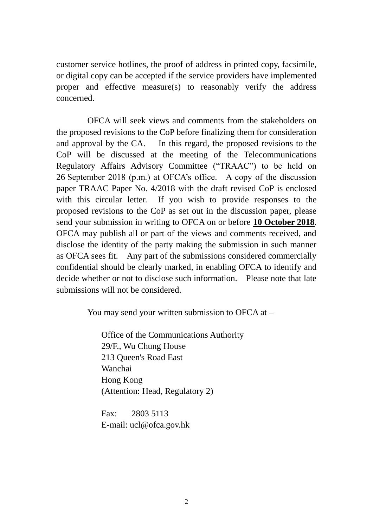customer service hotlines, the proof of address in printed copy, facsimile, or digital copy can be accepted if the service providers have implemented proper and effective measure(s) to reasonably verify the address concerned.

OFCA will seek views and comments from the stakeholders on the proposed revisions to the CoP before finalizing them for consideration and approval by the CA. In this regard, the proposed revisions to the CoP will be discussed at the meeting of the Telecommunications Regulatory Affairs Advisory Committee ("TRAAC") to be held on 26 September 2018 (p.m.) at OFCA's office. A copy of the discussion paper TRAAC Paper No. 4/2018 with the draft revised CoP is enclosed with this circular letter. If you wish to provide responses to the proposed revisions to the CoP as set out in the discussion paper, please send your submission in writing to OFCA on or before **10 October 2018**. OFCA may publish all or part of the views and comments received, and disclose the identity of the party making the submission in such manner as OFCA sees fit. Any part of the submissions considered commercially confidential should be clearly marked, in enabling OFCA to identify and decide whether or not to disclose such information. Please note that late submissions will not be considered.

You may send your written submission to OFCA at –

Office of the Communications Authority 29/F., Wu Chung House 213 Queen's Road East Wanchai Hong Kong (Attention: Head, Regulatory 2)

Fax: 2803 5113 E-mail: ucl@ofca.gov.hk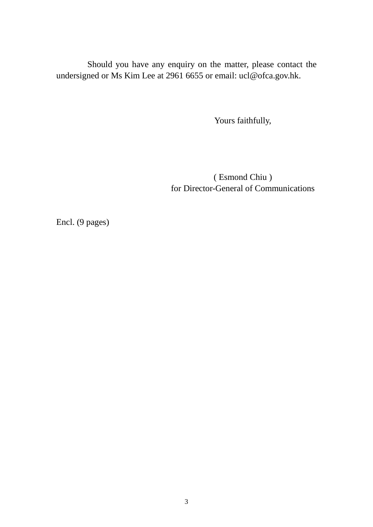Should you have any enquiry on the matter, please contact the undersigned or Ms Kim Lee at 2961 6655 or email: ucl@ofca.gov.hk.

Yours faithfully,

( Esmond Chiu ) for Director-General of Communications

Encl. (9 pages)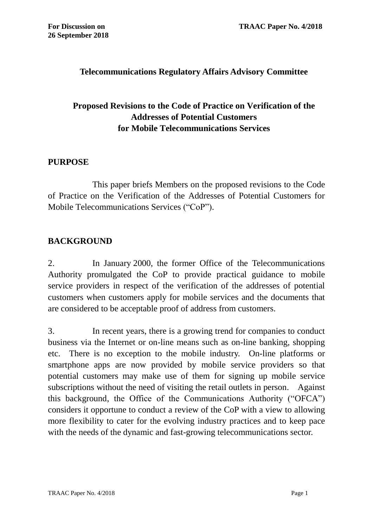## **Telecommunications Regulatory Affairs Advisory Committee**

# **Proposed Revisions to the Code of Practice on Verification of the Addresses of Potential Customers for Mobile Telecommunications Services**

#### **PURPOSE**

This paper briefs Members on the proposed revisions to the Code of Practice on the Verification of the Addresses of Potential Customers for Mobile Telecommunications Services ("CoP").

## **BACKGROUND**

2. In January 2000, the former Office of the Telecommunications Authority promulgated the CoP to provide practical guidance to mobile service providers in respect of the verification of the addresses of potential customers when customers apply for mobile services and the documents that are considered to be acceptable proof of address from customers.

3. In recent years, there is a growing trend for companies to conduct business via the Internet or on-line means such as on-line banking, shopping etc. There is no exception to the mobile industry. On-line platforms or smartphone apps are now provided by mobile service providers so that potential customers may make use of them for signing up mobile service subscriptions without the need of visiting the retail outlets in person. Against this background, the Office of the Communications Authority ("OFCA") considers it opportune to conduct a review of the CoP with a view to allowing more flexibility to cater for the evolving industry practices and to keep pace with the needs of the dynamic and fast-growing telecommunications sector.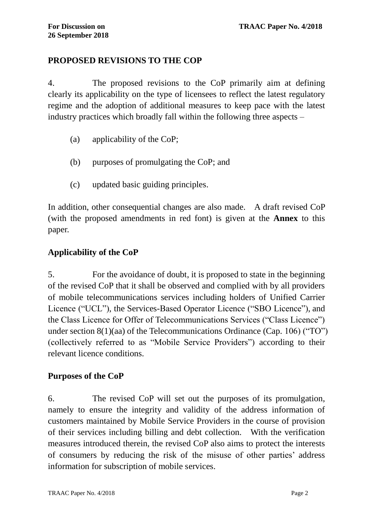## **PROPOSED REVISIONS TO THE COP**

4. The proposed revisions to the CoP primarily aim at defining clearly its applicability on the type of licensees to reflect the latest regulatory regime and the adoption of additional measures to keep pace with the latest industry practices which broadly fall within the following three aspects –

- (a) applicability of the CoP;
- (b) purposes of promulgating the CoP; and
- (c) updated basic guiding principles.

In addition, other consequential changes are also made. A draft revised CoP (with the proposed amendments in red font) is given at the **Annex** to this paper.

## **Applicability of the CoP**

5. For the avoidance of doubt, it is proposed to state in the beginning of the revised CoP that it shall be observed and complied with by all providers of mobile telecommunications services including holders of Unified Carrier Licence ("UCL"), the Services-Based Operator Licence ("SBO Licence"), and the Class Licence for Offer of Telecommunications Services ("Class Licence") under section 8(1)(aa) of the Telecommunications Ordinance (Cap. 106) ("TO") (collectively referred to as "Mobile Service Providers") according to their relevant licence conditions.

## **Purposes of the CoP**

6. The revised CoP will set out the purposes of its promulgation, namely to ensure the integrity and validity of the address information of customers maintained by Mobile Service Providers in the course of provision of their services including billing and debt collection. With the verification measures introduced therein, the revised CoP also aims to protect the interests of consumers by reducing the risk of the misuse of other parties' address information for subscription of mobile services.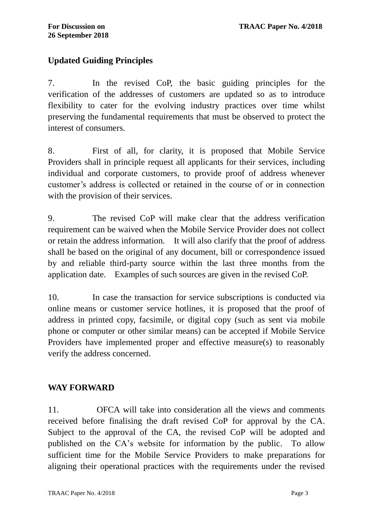## **Updated Guiding Principles**

7. In the revised CoP, the basic guiding principles for the verification of the addresses of customers are updated so as to introduce flexibility to cater for the evolving industry practices over time whilst preserving the fundamental requirements that must be observed to protect the interest of consumers.

8. First of all, for clarity, it is proposed that Mobile Service Providers shall in principle request all applicants for their services, including individual and corporate customers, to provide proof of address whenever customer's address is collected or retained in the course of or in connection with the provision of their services.

9. The revised CoP will make clear that the address verification requirement can be waived when the Mobile Service Provider does not collect or retain the address information. It will also clarify that the proof of address shall be based on the original of any document, bill or correspondence issued by and reliable third-party source within the last three months from the application date. Examples of such sources are given in the revised CoP.

10. In case the transaction for service subscriptions is conducted via online means or customer service hotlines, it is proposed that the proof of address in printed copy, facsimile, or digital copy (such as sent via mobile phone or computer or other similar means) can be accepted if Mobile Service Providers have implemented proper and effective measure(s) to reasonably verify the address concerned.

## **WAY FORWARD**

11. OFCA will take into consideration all the views and comments received before finalising the draft revised CoP for approval by the CA. Subject to the approval of the CA, the revised CoP will be adopted and published on the CA's website for information by the public. To allow sufficient time for the Mobile Service Providers to make preparations for aligning their operational practices with the requirements under the revised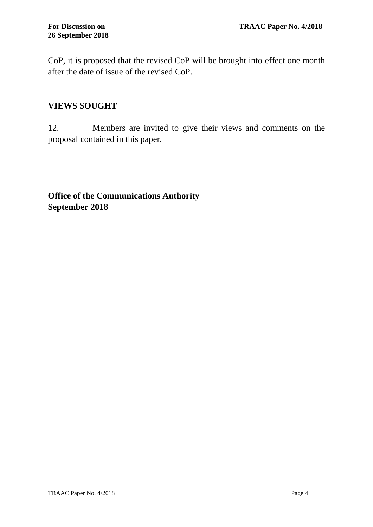CoP, it is proposed that the revised CoP will be brought into effect one month after the date of issue of the revised CoP.

## **VIEWS SOUGHT**

12. Members are invited to give their views and comments on the proposal contained in this paper.

**Office of the Communications Authority September 2018**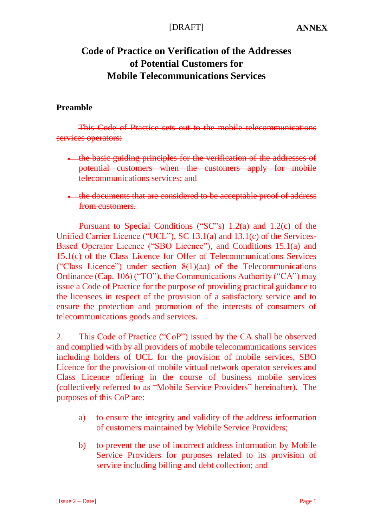# **Code of Practice on Verification of the Addresses of Potential Customers for Mobile Telecommunications Services**

#### **Preamble**

This Code of Practice sets out to the mobile telecommunications services operators:

- the basic guiding principles for the verification of the addresses of potential customers when the customers apply for mobile telecommunications services; and
- the documents that are considered to be acceptable proof of address from customers.

Pursuant to Special Conditions ("SC"s) 1.2(a) and 1.2(c) of the Unified Carrier Licence ("UCL"), SC 13.1(a) and 13.1(c) of the Services-Based Operator Licence ("SBO Licence"), and Conditions 15.1(a) and 15.1(c) of the Class Licence for Offer of Telecommunications Services ("Class Licence") under section 8(1)(aa) of the Telecommunications Ordinance (Cap. 106) ("TO"), the Communications Authority ("CA") may issue a Code of Practice for the purpose of providing practical guidance to the licensees in respect of the provision of a satisfactory service and to ensure the protection and promotion of the interests of consumers of telecommunications goods and services.

2. This Code of Practice ("CoP") issued by the CA shall be observed and complied with by all providers of mobile telecommunications services including holders of UCL for the provision of mobile services, SBO Licence for the provision of mobile virtual network operator services and Class Licence offering in the course of business mobile services (collectively referred to as "Mobile Service Providers" hereinafter). The purposes of this CoP are:

- a) to ensure the integrity and validity of the address information of customers maintained by Mobile Service Providers;
- b) to prevent the use of incorrect address information by Mobile Service Providers for purposes related to its provision of service including billing and debt collection; and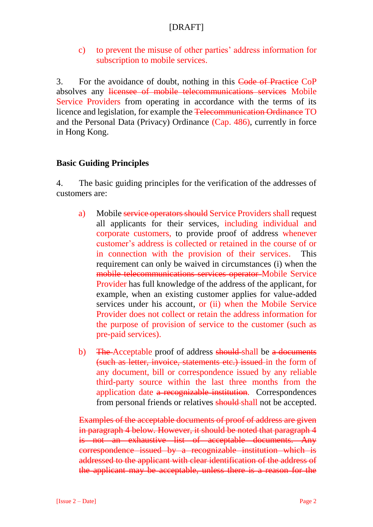c) to prevent the misuse of other parties' address information for subscription to mobile services.

3. For the avoidance of doubt, nothing in this Code of Practice CoP absolves any licensee of mobile telecommunications services Mobile Service Providers from operating in accordance with the terms of its licence and legislation, for example the Telecommunication Ordinance TO and the Personal Data (Privacy) Ordinance (Cap. 486), currently in force in Hong Kong.

## **Basic Guiding Principles**

4. The basic guiding principles for the verification of the addresses of customers are:

- a) Mobile service operators should Service Providers shall request all applicants for their services, including individual and corporate customers, to provide proof of address whenever customer's address is collected or retained in the course of or in connection with the provision of their services. This requirement can only be waived in circumstances (i) when the mobile telecommunications services operator Mobile Service Provider has full knowledge of the address of the applicant, for example, when an existing customer applies for value-added services under his account, or (ii) when the Mobile Service Provider does not collect or retain the address information for the purpose of provision of service to the customer (such as pre-paid services).
- b) The Acceptable proof of address should shall be a documents (such as letter, invoice, statements etc.) issued in the form of any document, bill or correspondence issued by any reliable third-party source within the last three months from the application date a recognizable institution. Correspondences from personal friends or relatives should-shall not be accepted.

Examples of the acceptable documents of proof of address are given in paragraph 4 below. However, it should be noted that paragraph 4 is not an exhaustive list of acceptable documents. Any correspondence issued by a recognizable institution which is addressed to the applicant with clear identification of the address of the applicant may be acceptable, unless there is a reason for the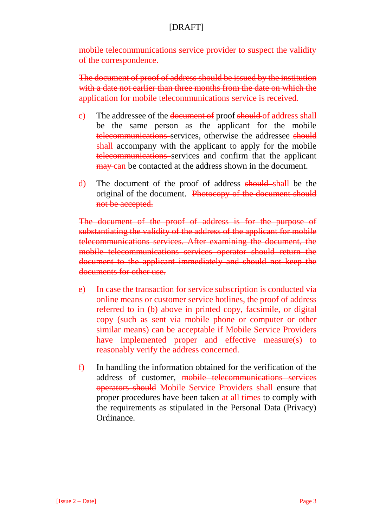mobile telecommunications service provider to suspect the validity of the correspondence.

The document of proof of address should be issued by the institution with a date not earlier than three months from the date on which the application for mobile telecommunications service is received.

- c) The addressee of the document of proof should of address shall be the same person as the applicant for the mobile telecommunications services, otherwise the addressee should shall accompany with the applicant to apply for the mobile telecommunications services and confirm that the applicant may can be contacted at the address shown in the document.
- d) The document of the proof of address should shall be the original of the document. Photocopy of the document should not be accepted.

The document of the proof of address is for the purpose of substantiating the validity of the address of the applicant for mobile telecommunications services. After examining the document, the mobile telecommunications services operator should return the document to the applicant immediately and should not keep the documents for other use.

- e) In case the transaction for service subscription is conducted via online means or customer service hotlines, the proof of address referred to in (b) above in printed copy, facsimile, or digital copy (such as sent via mobile phone or computer or other similar means) can be acceptable if Mobile Service Providers have implemented proper and effective measure(s) to reasonably verify the address concerned.
- f) In handling the information obtained for the verification of the address of customer, mobile telecommunications services operators should Mobile Service Providers shall ensure that proper procedures have been taken at all times to comply with the requirements as stipulated in the Personal Data (Privacy) Ordinance.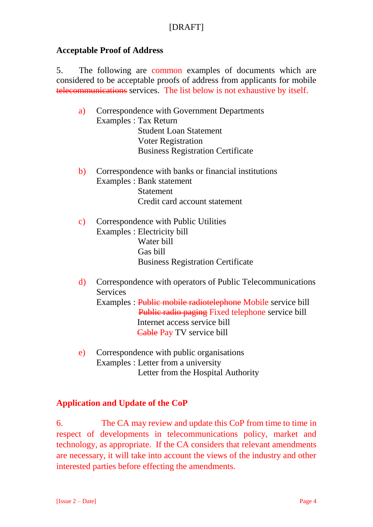#### **Acceptable Proof of Address**

5. The following are common examples of documents which are considered to be acceptable proofs of address from applicants for mobile telecommunications services. The list below is not exhaustive by itself.

- a) Correspondence with Government Departments Examples : Tax Return **Student Loan Statement** Voter Registration **Business Registration Certificate**
- b) Correspondence with banks or financial institutions Examples : Bank statement Statement Credit card account statement
- c) Correspondence with Public Utilities Examples : Electricity bill Water bill Gas bill **Business Registration Certificate**
- d) Correspondence with operators of Public Telecommunications **Services** Examples : Public mobile radiotelephone Mobile service bill Public radio paging Fixed telephone service bill Internet access service bill Cable Pay TV service bill
- e) Correspondence with public organisations Examples : Letter from a university Letter from the Hospital Authority

## **Application and Update of the CoP**

6. The CA may review and update this CoP from time to time in respect of developments in telecommunications policy, market and technology, as appropriate. If the CA considers that relevant amendments are necessary, it will take into account the views of the industry and other interested parties before effecting the amendments.